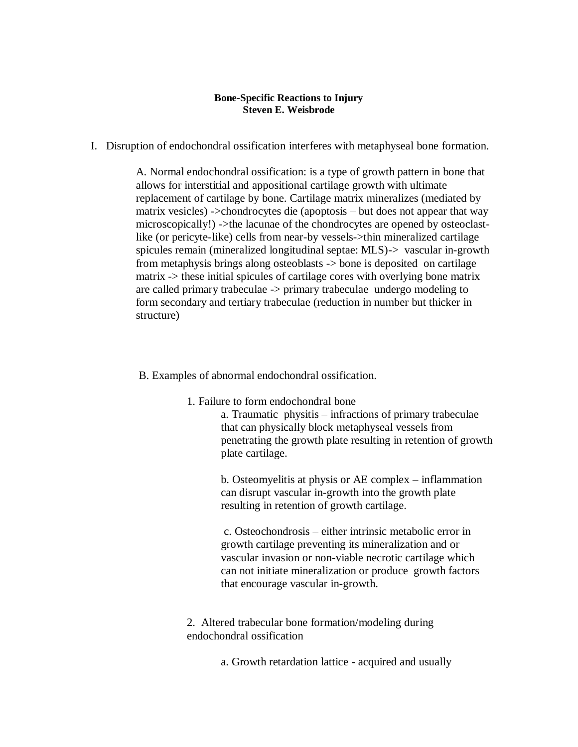## **Bone-Specific Reactions to Injury Steven E. Weisbrode**

I. Disruption of endochondral ossification interferes with metaphyseal bone formation.

A. Normal endochondral ossification: is a type of growth pattern in bone that allows for interstitial and appositional cartilage growth with ultimate replacement of cartilage by bone. Cartilage matrix mineralizes (mediated by matrix vesicles) ->chondrocytes die (apoptosis – but does not appear that way microscopically!) ->the lacunae of the chondrocytes are opened by osteoclastlike (or pericyte-like) cells from near-by vessels->thin mineralized cartilage spicules remain (mineralized longitudinal septae: MLS)-> vascular in-growth from metaphysis brings along osteoblasts -> bone is deposited on cartilage matrix -> these initial spicules of cartilage cores with overlying bone matrix are called primary trabeculae -> primary trabeculae undergo modeling to form secondary and tertiary trabeculae (reduction in number but thicker in structure)

B. Examples of abnormal endochondral ossification.

- 1. Failure to form endochondral bone
	- a. Traumatic physitis infractions of primary trabeculae that can physically block metaphyseal vessels from penetrating the growth plate resulting in retention of growth plate cartilage.

b. Osteomyelitis at physis or AE complex – inflammation can disrupt vascular in-growth into the growth plate resulting in retention of growth cartilage.

c. Osteochondrosis – either intrinsic metabolic error in growth cartilage preventing its mineralization and or vascular invasion or non-viable necrotic cartilage which can not initiate mineralization or produce growth factors that encourage vascular in-growth.

2. Altered trabecular bone formation/modeling during endochondral ossification

a. Growth retardation lattice - acquired and usually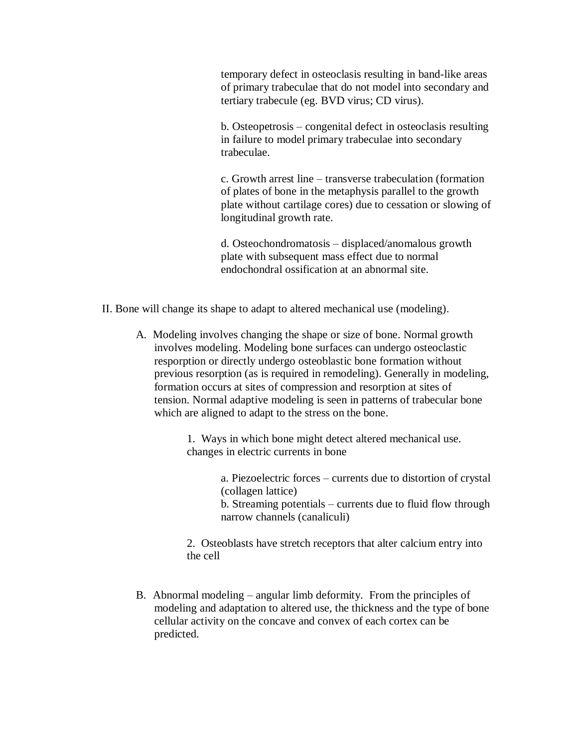temporary defect in osteoclasis resulting in band-like areas of primary trabeculae that do not model into secondary and tertiary trabecule (eg. BVD virus; CD virus).

b. Osteopetrosis – congenital defect in osteoclasis resulting in failure to model primary trabeculae into secondary trabeculae.

c. Growth arrest line – transverse trabeculation (formation of plates of bone in the metaphysis parallel to the growth plate without cartilage cores) due to cessation or slowing of longitudinal growth rate.

d. Osteochondromatosis – displaced/anomalous growth plate with subsequent mass effect due to normal endochondral ossification at an abnormal site.

- II. Bone will change its shape to adapt to altered mechanical use (modeling).
	- A. Modeling involves changing the shape or size of bone. Normal growth involves modeling. Modeling bone surfaces can undergo osteoclastic resporption or directly undergo osteoblastic bone formation without previous resorption (as is required in remodeling). Generally in modeling, formation occurs at sites of compression and resorption at sites of tension. Normal adaptive modeling is seen in patterns of trabecular bone which are aligned to adapt to the stress on the bone.

1. Ways in which bone might detect altered mechanical use. changes in electric currents in bone

> a. Piezoelectric forces – currents due to distortion of crystal (collagen lattice)

> b. Streaming potentials – currents due to fluid flow through narrow channels (canaliculi)

2. Osteoblasts have stretch receptors that alter calcium entry into the cell

B. Abnormal modeling – angular limb deformity. From the principles of modeling and adaptation to altered use, the thickness and the type of bone cellular activity on the concave and convex of each cortex can be predicted.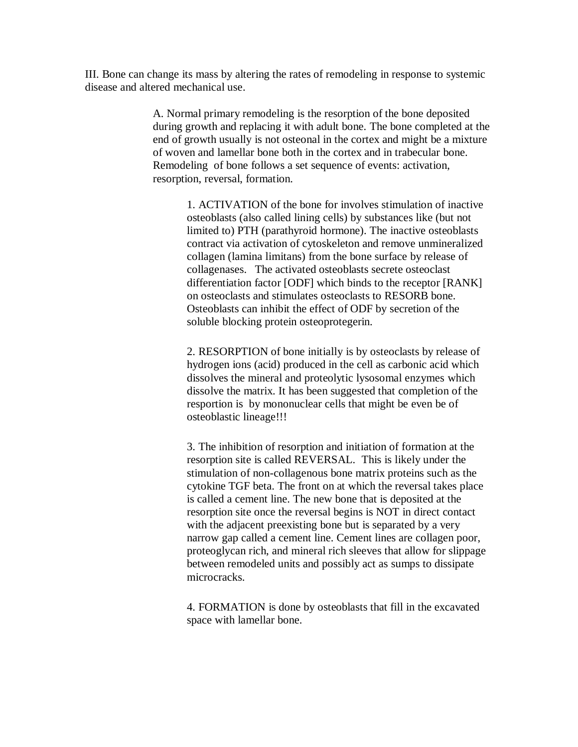III. Bone can change its mass by altering the rates of remodeling in response to systemic disease and altered mechanical use.

> A. Normal primary remodeling is the resorption of the bone deposited during growth and replacing it with adult bone. The bone completed at the end of growth usually is not osteonal in the cortex and might be a mixture of woven and lamellar bone both in the cortex and in trabecular bone. Remodeling of bone follows a set sequence of events: activation, resorption, reversal, formation.

1. ACTIVATION of the bone for involves stimulation of inactive osteoblasts (also called lining cells) by substances like (but not limited to) PTH (parathyroid hormone). The inactive osteoblasts contract via activation of cytoskeleton and remove unmineralized collagen (lamina limitans) from the bone surface by release of collagenases. The activated osteoblasts secrete osteoclast differentiation factor [ODF] which binds to the receptor [RANK] on osteoclasts and stimulates osteoclasts to RESORB bone. Osteoblasts can inhibit the effect of ODF by secretion of the soluble blocking protein osteoprotegerin.

2. RESORPTION of bone initially is by osteoclasts by release of hydrogen ions (acid) produced in the cell as carbonic acid which dissolves the mineral and proteolytic lysosomal enzymes which dissolve the matrix. It has been suggested that completion of the resportion is by mononuclear cells that might be even be of osteoblastic lineage!!!

3. The inhibition of resorption and initiation of formation at the resorption site is called REVERSAL. This is likely under the stimulation of non-collagenous bone matrix proteins such as the cytokine TGF beta. The front on at which the reversal takes place is called a cement line. The new bone that is deposited at the resorption site once the reversal begins is NOT in direct contact with the adjacent preexisting bone but is separated by a very narrow gap called a cement line. Cement lines are collagen poor, proteoglycan rich, and mineral rich sleeves that allow for slippage between remodeled units and possibly act as sumps to dissipate microcracks.

4. FORMATION is done by osteoblasts that fill in the excavated space with lamellar bone.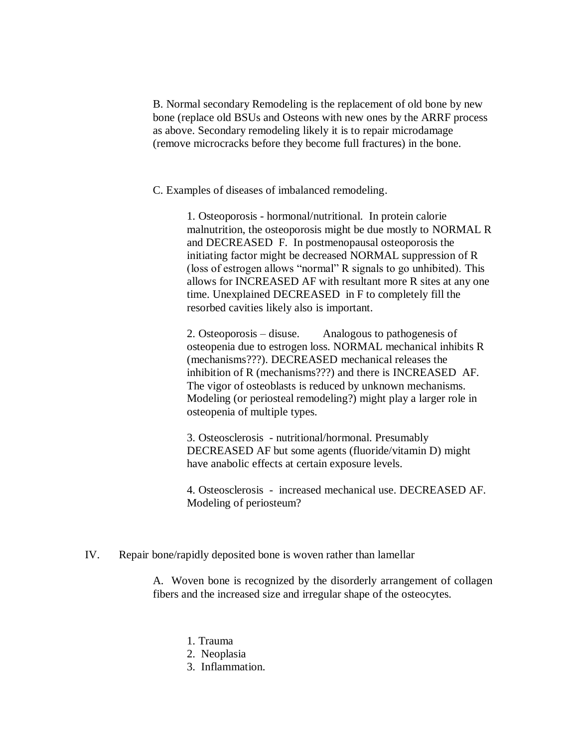B. Normal secondary Remodeling is the replacement of old bone by new bone (replace old BSUs and Osteons with new ones by the ARRF process as above. Secondary remodeling likely it is to repair microdamage (remove microcracks before they become full fractures) in the bone.

C. Examples of diseases of imbalanced remodeling.

1. Osteoporosis - hormonal/nutritional. In protein calorie malnutrition, the osteoporosis might be due mostly to NORMAL R and DECREASED F. In postmenopausal osteoporosis the initiating factor might be decreased NORMAL suppression of R (loss of estrogen allows "normal" R signals to go unhibited). This allows for INCREASED AF with resultant more R sites at any one time. Unexplained DECREASED in F to completely fill the resorbed cavities likely also is important.

2. Osteoporosis – disuse. Analogous to pathogenesis of osteopenia due to estrogen loss. NORMAL mechanical inhibits R (mechanisms???). DECREASED mechanical releases the inhibition of R (mechanisms???) and there is INCREASED AF. The vigor of osteoblasts is reduced by unknown mechanisms. Modeling (or periosteal remodeling?) might play a larger role in osteopenia of multiple types.

3. Osteosclerosis - nutritional/hormonal. Presumably DECREASED AF but some agents (fluoride/vitamin D) might have anabolic effects at certain exposure levels.

4. Osteosclerosis - increased mechanical use. DECREASED AF. Modeling of periosteum?

IV. Repair bone/rapidly deposited bone is woven rather than lamellar

A. Woven bone is recognized by the disorderly arrangement of collagen fibers and the increased size and irregular shape of the osteocytes.

- 1. Trauma
- 2. Neoplasia
- 3. Inflammation.